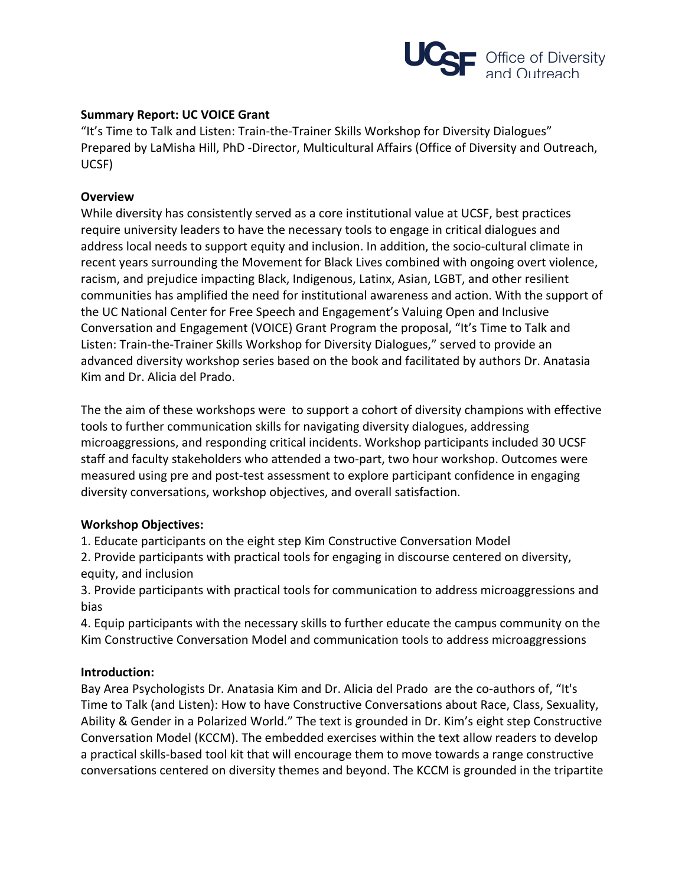

## **Summary Report: UC VOICE Grant**

"It's Time to Talk and Listen: Train-the-Trainer Skills Workshop for Diversity Dialogues" Prepared by LaMisha Hill, PhD -Director, Multicultural Affairs (Office of Diversity and Outreach, UCSF)

### **Overview**

While diversity has consistently served as a core institutional value at UCSF, best practices require university leaders to have the necessary tools to engage in critical dialogues and address local needs to support equity and inclusion. In addition, the socio-cultural climate in recent years surrounding the Movement for Black Lives combined with ongoing overt violence, racism, and prejudice impacting Black, Indigenous, Latinx, Asian, LGBT, and other resilient communities has amplified the need for institutional awareness and action. With the support of the UC National Center for Free Speech and Engagement's Valuing Open and Inclusive Conversation and Engagement (VOICE) Grant Program the proposal, "It's Time to Talk and Listen: Train-the-Trainer Skills Workshop for Diversity Dialogues," served to provide an advanced diversity workshop series based on the book and facilitated by authors Dr. Anatasia Kim and Dr. Alicia del Prado.

The the aim of these workshops were to support a cohort of diversity champions with effective tools to further communication skills for navigating diversity dialogues, addressing microaggressions, and responding critical incidents. Workshop participants included 30 UCSF staff and faculty stakeholders who attended a two-part, two hour workshop. Outcomes were measured using pre and post-test assessment to explore participant confidence in engaging diversity conversations, workshop objectives, and overall satisfaction.

## **Workshop Objectives:**

1. Educate participants on the eight step Kim Constructive Conversation Model

2. Provide participants with practical tools for engaging in discourse centered on diversity, equity, and inclusion

3. Provide participants with practical tools for communication to address microaggressions and bias

4. Equip participants with the necessary skills to further educate the campus community on the Kim Constructive Conversation Model and communication tools to address microaggressions

## **Introduction:**

Bay Area Psychologists Dr. Anatasia Kim and Dr. Alicia del Prado are the co-authors of, "It's Time to Talk (and Listen): How to have Constructive Conversations about Race, Class, Sexuality, Ability & Gender in a Polarized World." The text is grounded in Dr. Kim's eight step Constructive Conversation Model (KCCM). The embedded exercises within the text allow readers to develop a practical skills-based tool kit that will encourage them to move towards a range constructive conversations centered on diversity themes and beyond. The KCCM is grounded in the tripartite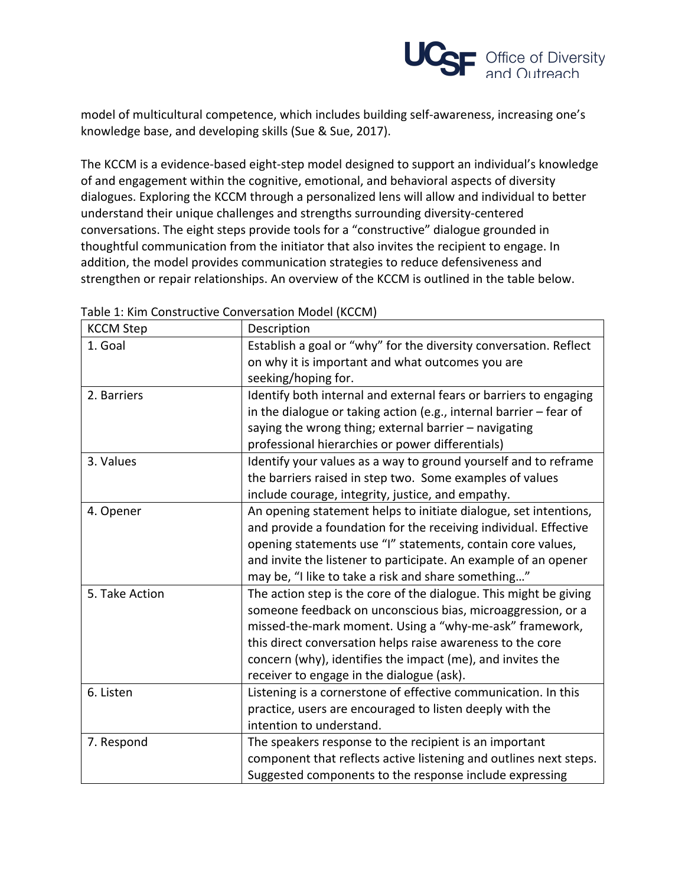

model of multicultural competence, which includes building self-awareness, increasing one's knowledge base, and developing skills (Sue & Sue, 2017).

The KCCM is a evidence-based eight-step model designed to support an individual's knowledge of and engagement within the cognitive, emotional, and behavioral aspects of diversity dialogues. Exploring the KCCM through a personalized lens will allow and individual to better understand their unique challenges and strengths surrounding diversity-centered conversations. The eight steps provide tools for a "constructive" dialogue grounded in thoughtful communication from the initiator that also invites the recipient to engage. In addition, the model provides communication strategies to reduce defensiveness and strengthen or repair relationships. An overview of the KCCM is outlined in the table below.

| <b>KCCM Step</b> | Description                                                          |
|------------------|----------------------------------------------------------------------|
| 1. Goal          | Establish a goal or "why" for the diversity conversation. Reflect    |
|                  | on why it is important and what outcomes you are                     |
|                  | seeking/hoping for.                                                  |
| 2. Barriers      | Identify both internal and external fears or barriers to engaging    |
|                  | in the dialogue or taking action (e.g., internal barrier $-$ fear of |
|                  | saying the wrong thing; external barrier - navigating                |
|                  | professional hierarchies or power differentials)                     |
| 3. Values        | Identify your values as a way to ground yourself and to reframe      |
|                  | the barriers raised in step two. Some examples of values             |
|                  | include courage, integrity, justice, and empathy.                    |
| 4. Opener        | An opening statement helps to initiate dialogue, set intentions,     |
|                  | and provide a foundation for the receiving individual. Effective     |
|                  | opening statements use "I" statements, contain core values,          |
|                  | and invite the listener to participate. An example of an opener      |
|                  | may be, "I like to take a risk and share something"                  |
| 5. Take Action   | The action step is the core of the dialogue. This might be giving    |
|                  | someone feedback on unconscious bias, microaggression, or a          |
|                  | missed-the-mark moment. Using a "why-me-ask" framework,              |
|                  | this direct conversation helps raise awareness to the core           |
|                  | concern (why), identifies the impact (me), and invites the           |
|                  | receiver to engage in the dialogue (ask).                            |
| 6. Listen        | Listening is a cornerstone of effective communication. In this       |
|                  | practice, users are encouraged to listen deeply with the             |
|                  | intention to understand.                                             |
| 7. Respond       | The speakers response to the recipient is an important               |
|                  | component that reflects active listening and outlines next steps.    |
|                  | Suggested components to the response include expressing              |

Table 1: Kim Constructive Conversation Model (KCCM)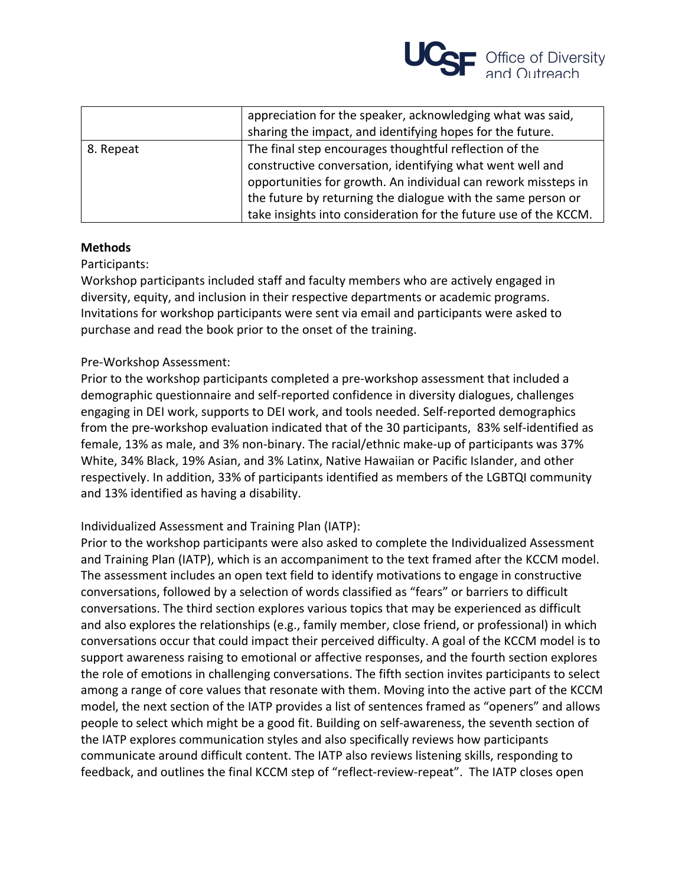

|           | appreciation for the speaker, acknowledging what was said,<br>sharing the impact, and identifying hopes for the future.                                                                                                                                                                                                   |
|-----------|---------------------------------------------------------------------------------------------------------------------------------------------------------------------------------------------------------------------------------------------------------------------------------------------------------------------------|
| 8. Repeat | The final step encourages thoughtful reflection of the<br>constructive conversation, identifying what went well and<br>opportunities for growth. An individual can rework missteps in<br>the future by returning the dialogue with the same person or<br>take insights into consideration for the future use of the KCCM. |

### **Methods**

Participants:

Workshop participants included staff and faculty members who are actively engaged in diversity, equity, and inclusion in their respective departments or academic programs. Invitations for workshop participants were sent via email and participants were asked to purchase and read the book prior to the onset of the training.

### Pre-Workshop Assessment:

Prior to the workshop participants completed a pre-workshop assessment that included a demographic questionnaire and self-reported confidence in diversity dialogues, challenges engaging in DEI work, supports to DEI work, and tools needed. Self-reported demographics from the pre-workshop evaluation indicated that of the 30 participants, 83% self-identified as female, 13% as male, and 3% non-binary. The racial/ethnic make-up of participants was 37% White, 34% Black, 19% Asian, and 3% Latinx, Native Hawaiian or Pacific Islander, and other respectively. In addition, 33% of participants identified as members of the LGBTQI community and 13% identified as having a disability.

## Individualized Assessment and Training Plan (IATP):

Prior to the workshop participants were also asked to complete the Individualized Assessment and Training Plan (IATP), which is an accompaniment to the text framed after the KCCM model. The assessment includes an open text field to identify motivations to engage in constructive conversations, followed by a selection of words classified as "fears" or barriers to difficult conversations. The third section explores various topics that may be experienced as difficult and also explores the relationships (e.g., family member, close friend, or professional) in which conversations occur that could impact their perceived difficulty. A goal of the KCCM model is to support awareness raising to emotional or affective responses, and the fourth section explores the role of emotions in challenging conversations. The fifth section invites participants to select among a range of core values that resonate with them. Moving into the active part of the KCCM model, the next section of the IATP provides a list of sentences framed as "openers" and allows people to select which might be a good fit. Building on self-awareness, the seventh section of the IATP explores communication styles and also specifically reviews how participants communicate around difficult content. The IATP also reviews listening skills, responding to feedback, and outlines the final KCCM step of "reflect-review-repeat". The IATP closes open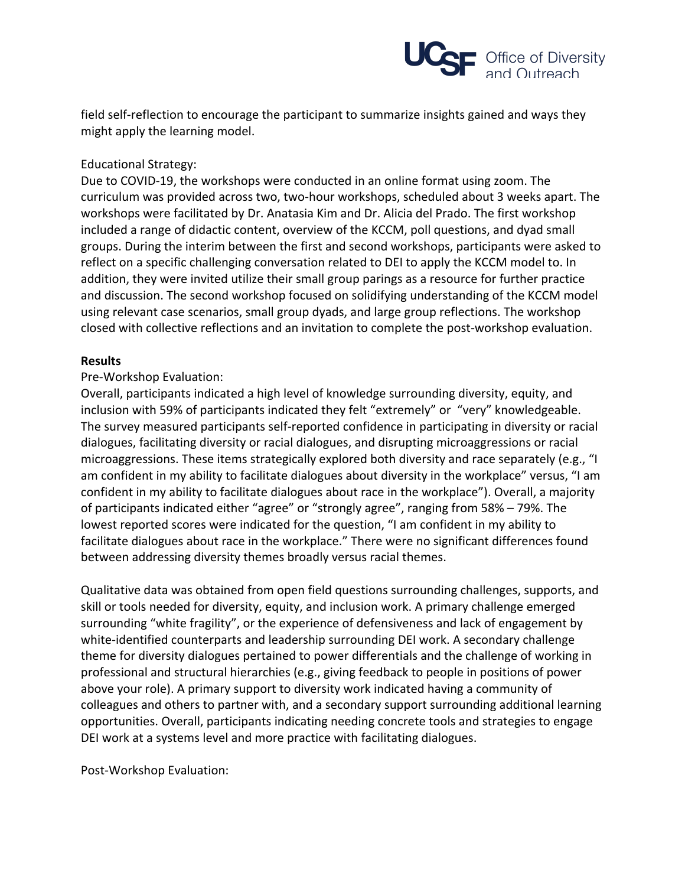

field self-reflection to encourage the participant to summarize insights gained and ways they might apply the learning model.

# Educational Strategy:

Due to COVID-19, the workshops were conducted in an online format using zoom. The curriculum was provided across two, two-hour workshops, scheduled about 3 weeks apart. The workshops were facilitated by Dr. Anatasia Kim and Dr. Alicia del Prado. The first workshop included a range of didactic content, overview of the KCCM, poll questions, and dyad small groups. During the interim between the first and second workshops, participants were asked to reflect on a specific challenging conversation related to DEI to apply the KCCM model to. In addition, they were invited utilize their small group parings as a resource for further practice and discussion. The second workshop focused on solidifying understanding of the KCCM model using relevant case scenarios, small group dyads, and large group reflections. The workshop closed with collective reflections and an invitation to complete the post-workshop evaluation.

## **Results**

## Pre-Workshop Evaluation:

Overall, participants indicated a high level of knowledge surrounding diversity, equity, and inclusion with 59% of participants indicated they felt "extremely" or "very" knowledgeable. The survey measured participants self-reported confidence in participating in diversity or racial dialogues, facilitating diversity or racial dialogues, and disrupting microaggressions or racial microaggressions. These items strategically explored both diversity and race separately (e.g., "I am confident in my ability to facilitate dialogues about diversity in the workplace" versus, "I am confident in my ability to facilitate dialogues about race in the workplace"). Overall, a majority of participants indicated either "agree" or "strongly agree", ranging from 58% – 79%. The lowest reported scores were indicated for the question, "I am confident in my ability to facilitate dialogues about race in the workplace." There were no significant differences found between addressing diversity themes broadly versus racial themes.

Qualitative data was obtained from open field questions surrounding challenges, supports, and skill or tools needed for diversity, equity, and inclusion work. A primary challenge emerged surrounding "white fragility", or the experience of defensiveness and lack of engagement by white-identified counterparts and leadership surrounding DEI work. A secondary challenge theme for diversity dialogues pertained to power differentials and the challenge of working in professional and structural hierarchies (e.g., giving feedback to people in positions of power above your role). A primary support to diversity work indicated having a community of colleagues and others to partner with, and a secondary support surrounding additional learning opportunities. Overall, participants indicating needing concrete tools and strategies to engage DEI work at a systems level and more practice with facilitating dialogues.

Post-Workshop Evaluation: